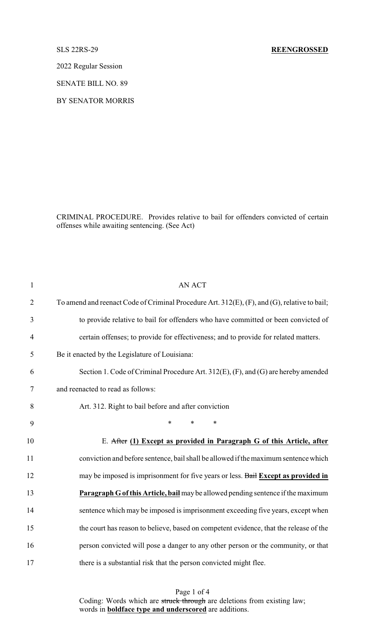2022 Regular Session

SENATE BILL NO. 89

BY SENATOR MORRIS

CRIMINAL PROCEDURE. Provides relative to bail for offenders convicted of certain offenses while awaiting sentencing. (See Act)

| $\mathbf{1}$   | <b>AN ACT</b>                                                                                |
|----------------|----------------------------------------------------------------------------------------------|
| $\overline{2}$ | To amend and reenact Code of Criminal Procedure Art. 312(E), (F), and (G), relative to bail; |
| 3              | to provide relative to bail for offenders who have committed or been convicted of            |
| $\overline{4}$ | certain offenses; to provide for effectiveness; and to provide for related matters.          |
| 5              | Be it enacted by the Legislature of Louisiana:                                               |
| 6              | Section 1. Code of Criminal Procedure Art. 312(E), (F), and (G) are hereby amended           |
| 7              | and reenacted to read as follows:                                                            |
| 8              | Art. 312. Right to bail before and after conviction                                          |
| 9              | $\ast$<br>$\ast$<br>*                                                                        |
| 10             | E. After (1) Except as provided in Paragraph G of this Article, after                        |
| 11             | conviction and before sentence, bail shall be allowed if the maximum sentence which          |
| 12             | may be imposed is imprisonment for five years or less. Bail Except as provided in            |
| 13             | Paragraph G of this Article, bail may be allowed pending sentence if the maximum             |
| 14             | sentence which may be imposed is imprisonment exceeding five years, except when              |
| 15             | the court has reason to believe, based on competent evidence, that the release of the        |
| 16             | person convicted will pose a danger to any other person or the community, or that            |
| 17             | there is a substantial risk that the person convicted might flee.                            |

Page 1 of 4 Coding: Words which are struck through are deletions from existing law; words in **boldface type and underscored** are additions.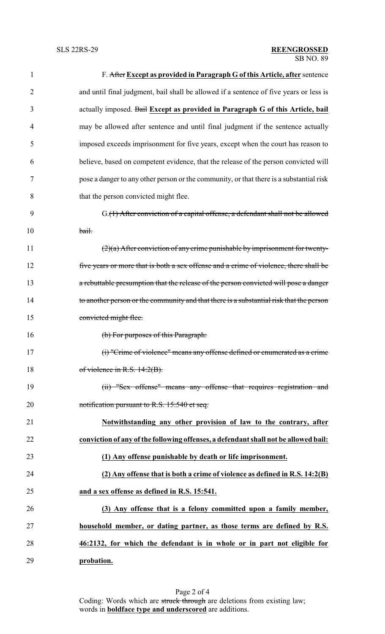| 1              | F. After Except as provided in Paragraph G of this Article, after sentence              |
|----------------|-----------------------------------------------------------------------------------------|
| $\overline{2}$ | and until final judgment, bail shall be allowed if a sentence of five years or less is  |
| 3              | actually imposed. Bail Except as provided in Paragraph G of this Article, bail          |
| 4              | may be allowed after sentence and until final judgment if the sentence actually         |
| 5              | imposed exceeds imprisonment for five years, except when the court has reason to        |
| 6              | believe, based on competent evidence, that the release of the person convicted will     |
| 7              | pose a danger to any other person or the community, or that there is a substantial risk |
| 8              | that the person convicted might flee.                                                   |
| 9              | G.(1) After conviction of a capital offense, a defendant shall not be allowed           |
| 10             | bail.                                                                                   |
| 11             | $(2)(a)$ After conviction of any crime punishable by imprisonment for twenty-           |
| 12             | five years or more that is both a sex offense and a crime of violence, there shall be   |
| 13             | a rebuttable presumption that the release of the person convicted will pose a danger    |
| 14             | to another person or the community and that there is a substantial risk that the person |
| 15             | convicted might flee.                                                                   |
| 16             | (b) For purposes of this Paragraph:                                                     |
| 17             | (i) "Crime of violence" means any offense defined or enumerated as a crime              |
| 18             | of violence in R.S. $14:2(B)$ .                                                         |
| 19             | (ii) "Sex offense" means any offense that requires registration and                     |
| 20             | notification pursuant to R.S. 15:540 et seq.                                            |
| 21             | Notwithstanding any other provision of law to the contrary, after                       |
| 22             | conviction of any of the following offenses, a defendant shall not be allowed bail:     |
| 23             | (1) Any offense punishable by death or life imprisonment.                               |
| 24             | (2) Any offense that is both a crime of violence as defined in R.S. 14:2(B)             |
| 25             | and a sex offense as defined in R.S. 15:541.                                            |
| 26             | (3) Any offense that is a felony committed upon a family member,                        |
| 27             | household member, or dating partner, as those terms are defined by R.S.                 |
| 28             | 46:2132, for which the defendant is in whole or in part not eligible for                |
| 29             | probation.                                                                              |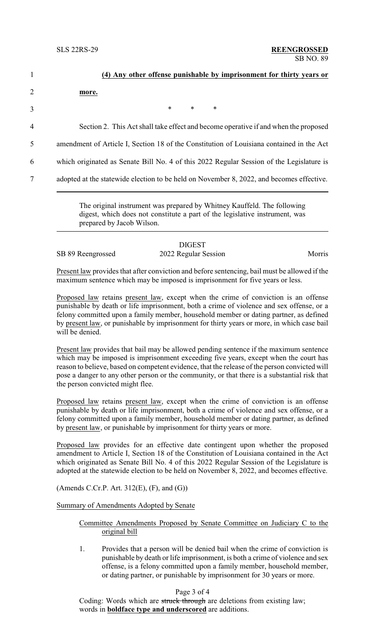|                | (4) Any other offense punishable by imprisonment for thirty years or                     |
|----------------|------------------------------------------------------------------------------------------|
| $\overline{2}$ | more.                                                                                    |
| 3              | $\ast$<br>$\ast$<br>∗                                                                    |
| 4              | Section 2. This Act shall take effect and become operative if and when the proposed      |
| 5              | amendment of Article I, Section 18 of the Constitution of Louisiana contained in the Act |
| 6              | which originated as Senate Bill No. 4 of this 2022 Regular Session of the Legislature is |
| 7              | adopted at the statewide election to be held on November 8, 2022, and becomes effective. |

The original instrument was prepared by Whitney Kauffeld. The following digest, which does not constitute a part of the legislative instrument, was prepared by Jacob Wilson.

## DIGEST SB 89 Reengrossed 2022 Regular Session Morris

Present law provides that after conviction and before sentencing, bail must be allowed if the maximum sentence which may be imposed is imprisonment for five years or less.

Proposed law retains present law, except when the crime of conviction is an offense punishable by death or life imprisonment, both a crime of violence and sex offense, or a felony committed upon a family member, household member or dating partner, as defined by present law, or punishable by imprisonment for thirty years or more, in which case bail will be denied.

Present law provides that bail may be allowed pending sentence if the maximum sentence which may be imposed is imprisonment exceeding five years, except when the court has reason to believe, based on competent evidence, that the release of the person convicted will pose a danger to any other person or the community, or that there is a substantial risk that the person convicted might flee.

Proposed law retains present law, except when the crime of conviction is an offense punishable by death or life imprisonment, both a crime of violence and sex offense, or a felony committed upon a family member, household member or dating partner, as defined by present law, or punishable by imprisonment for thirty years or more.

Proposed law provides for an effective date contingent upon whether the proposed amendment to Article I, Section 18 of the Constitution of Louisiana contained in the Act which originated as Senate Bill No. 4 of this 2022 Regular Session of the Legislature is adopted at the statewide election to be held on November 8, 2022, and becomes effective.

(Amends C.Cr.P. Art. 312(E), (F), and (G))

Summary of Amendments Adopted by Senate

## Committee Amendments Proposed by Senate Committee on Judiciary C to the original bill

1. Provides that a person will be denied bail when the crime of conviction is punishable by death or life imprisonment, is both a crime of violence and sex offense, is a felony committed upon a family member, household member, or dating partner, or punishable by imprisonment for 30 years or more.

## Page 3 of 4

Coding: Words which are struck through are deletions from existing law; words in **boldface type and underscored** are additions.